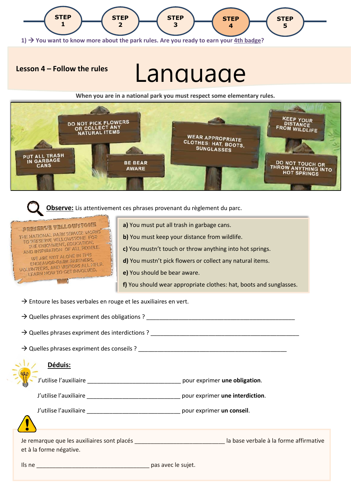

## **Lesson 4 – Follow the rules**

**Parc 4 - Follow the rules** Language

**When you are in a national park you must respect some elementary rules.**



 **Observe:** Lis attentivement ces phrases provenant du règlement du parc.



**a)** You must put all trash in garbage cans.

**b)** You must keep your distance from wildlife.

**c)** You mustn't touch or throw anything into hot springs.

**d)** You mustn't pick flowers or collect any natural items.

**e)** You should be bear aware.

**f)** You should wear appropriate clothes: hat, boots and sunglasses.

 $\rightarrow$  Entoure les bases verbales en rouge et les auxiliaires en vert.

 $\rightarrow$  Quelles phrases expriment des obligations ?

 $\rightarrow$  Quelles phrases expriment des interdictions ?

 $\rightarrow$  Quelles phrases expriment des conseils ?

## **Déduis:**

J'utilise l'auxiliaire \_\_\_\_\_\_\_\_\_\_\_\_\_\_\_\_\_\_\_\_\_\_\_\_\_\_\_\_\_ pour exprimer **une obligation**.

J'utilise l'auxiliaire \_\_\_\_\_\_\_\_\_\_\_\_\_\_\_\_\_\_\_\_\_\_\_\_\_\_\_\_\_ pour exprimer **une interdiction**.

J'utilise l'auxiliaire \_\_\_\_\_\_\_\_\_\_\_\_\_\_\_\_\_\_\_\_\_\_\_\_\_\_\_\_\_ pour exprimer **un conseil**.

Je remarque que les auxiliaires sont placés \_\_\_\_\_\_\_\_\_\_\_\_\_\_\_\_\_\_\_\_\_\_\_\_\_\_\_\_ la base verbale à la forme affirmative et à la forme négative.

Ils ne \_\_\_\_\_\_\_\_\_\_\_\_\_\_\_\_\_\_\_\_\_\_\_\_\_\_\_\_\_\_\_\_\_\_\_ pas avec le sujet.